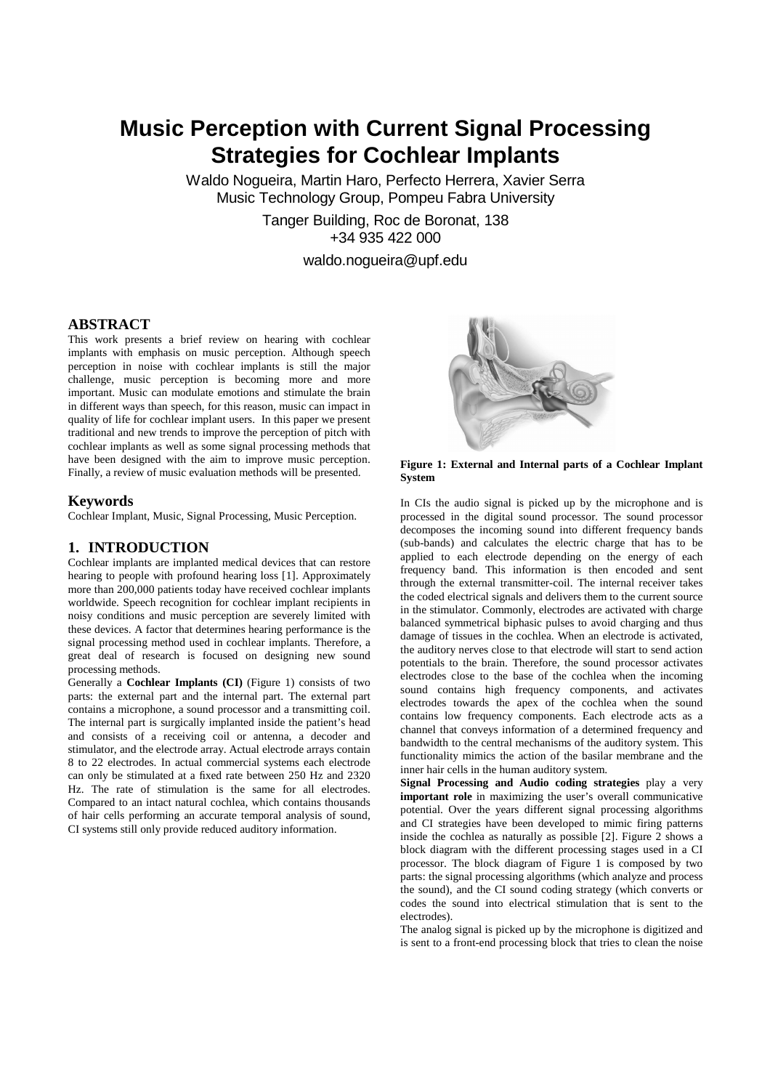# **Music Perception with Current Signal Processing Strategies for Cochlear Implants**

Waldo Nogueira, Martin Haro, Perfecto Herrera, Xavier Serra Music Technology Group, Pompeu Fabra University

> Tanger Building, Roc de Boronat, 138 +34 935 422 000

> > waldo.nogueira@upf.edu

## **ABSTRACT**

This work presents a brief review on hearing with cochlear implants with emphasis on music perception. Although speech perception in noise with cochlear implants is still the major challenge, music perception is becoming more and more important. Music can modulate emotions and stimulate the brain in different ways than speech, for this reason, music can impact in quality of life for cochlear implant users. In this paper we present traditional and new trends to improve the perception of pitch with cochlear implants as well as some signal processing methods that have been designed with the aim to improve music perception. Finally, a review of music evaluation methods will be presented.

#### **Keywords**

Cochlear Implant, Music, Signal Processing, Music Perception.

#### **1. INTRODUCTION**

Cochlear implants are implanted medical devices that can restore hearing to people with profound hearing loss [1]. Approximately more than 200,000 patients today have received cochlear implants worldwide. Speech recognition for cochlear implant recipients in noisy conditions and music perception are severely limited with these devices. A factor that determines hearing performance is the signal processing method used in cochlear implants. Therefore, a great deal of research is focused on designing new sound processing methods.

Generally a **Cochlear Implants (CI)** (Figure 1) consists of two parts: the external part and the internal part. The external part contains a microphone, a sound processor and a transmitting coil. The internal part is surgically implanted inside the patient's head and consists of a receiving coil or antenna, a decoder and stimulator, and the electrode array. Actual electrode arrays contain 8 to 22 electrodes. In actual commercial systems each electrode can only be stimulated at a fixed rate between 250 Hz and 2320 Hz. The rate of stimulation is the same for all electrodes. Compared to an intact natural cochlea, which contains thousands of hair cells performing an accurate temporal analysis of sound, CI systems still only provide reduced auditory information.



**Figure 1: External and Internal parts of a Cochlear Implant System**

In CIs the audio signal is picked up by the microphone and is processed in the digital sound processor. The sound processor decomposes the incoming sound into different frequency bands (sub-bands) and calculates the electric charge that has to be applied to each electrode depending on the energy of each frequency band. This information is then encoded and sent through the external transmitter-coil. The internal receiver takes the coded electrical signals and delivers them to the current source in the stimulator. Commonly, electrodes are activated with charge balanced symmetrical biphasic pulses to avoid charging and thus damage of tissues in the cochlea. When an electrode is activated, the auditory nerves close to that electrode will start to send action potentials to the brain. Therefore, the sound processor activates electrodes close to the base of the cochlea when the incoming sound contains high frequency components, and activates electrodes towards the apex of the cochlea when the sound contains low frequency components. Each electrode acts as a channel that conveys information of a determined frequency and bandwidth to the central mechanisms of the auditory system. This functionality mimics the action of the basilar membrane and the inner hair cells in the human auditory system.

**Signal Processing and Audio coding strategies** play a very **important role** in maximizing the user's overall communicative potential. Over the years different signal processing algorithms and CI strategies have been developed to mimic firing patterns inside the cochlea as naturally as possible [2]. Figure 2 shows a block diagram with the different processing stages used in a CI processor. The block diagram of Figure 1 is composed by two parts: the signal processing algorithms (which analyze and process the sound), and the CI sound coding strategy (which converts or codes the sound into electrical stimulation that is sent to the electrodes).

The analog signal is picked up by the microphone is digitized and is sent to a front-end processing block that tries to clean the noise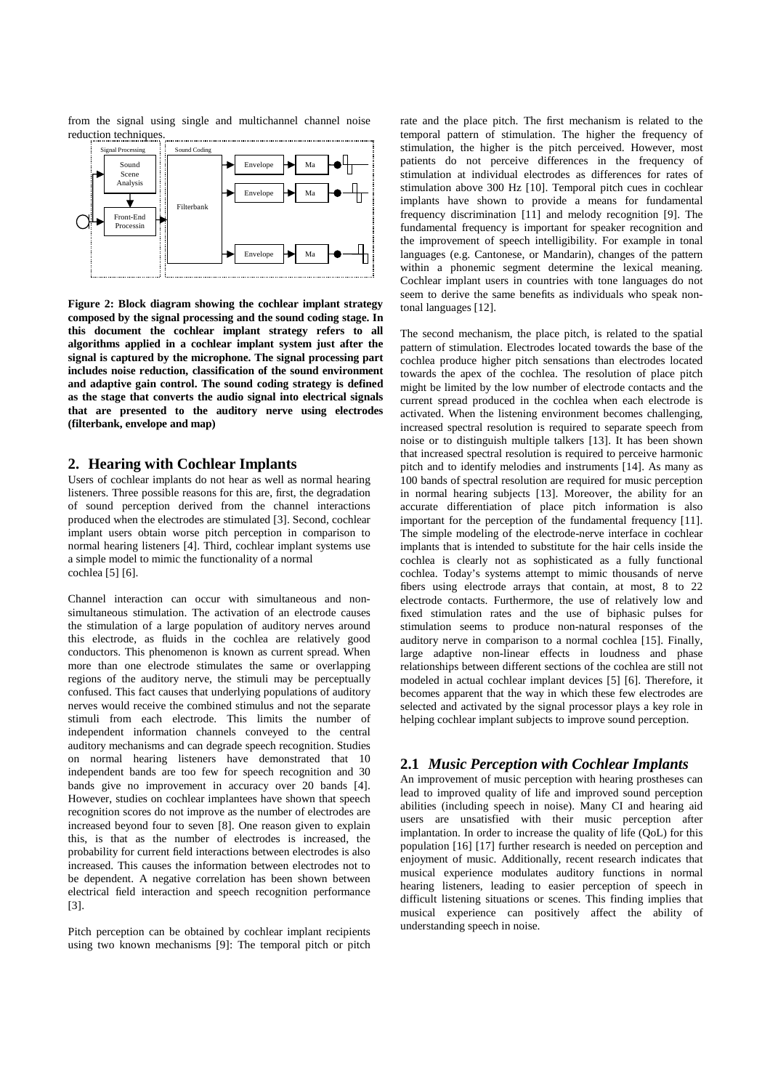from the signal using single and multichannel channel noise reduction techniques.



**Figure 2: Block diagram showing the cochlear implant strategy composed by the signal processing and the sound coding stage. In this document the cochlear implant strategy refers to all algorithms applied in a cochlear implant system just after the signal is captured by the microphone. The signal processing part includes noise reduction, classification of the sound environment and adaptive gain control. The sound coding strategy is defined as the stage that converts the audio signal into electrical signals that are presented to the auditory nerve using electrodes (filterbank, envelope and map)**

### **2. Hearing with Cochlear Implants**

Users of cochlear implants do not hear as well as normal hearing listeners. Three possible reasons for this are, first, the degradation of sound perception derived from the channel interactions produced when the electrodes are stimulated [3]. Second, cochlear implant users obtain worse pitch perception in comparison to normal hearing listeners [4]. Third, cochlear implant systems use a simple model to mimic the functionality of a normal cochlea [5] [6].

Channel interaction can occur with simultaneous and nonsimultaneous stimulation. The activation of an electrode causes the stimulation of a large population of auditory nerves around this electrode, as fluids in the cochlea are relatively good conductors. This phenomenon is known as current spread. When more than one electrode stimulates the same or overlapping regions of the auditory nerve, the stimuli may be perceptually confused. This fact causes that underlying populations of auditory nerves would receive the combined stimulus and not the separate stimuli from each electrode. This limits the number of independent information channels conveyed to the central auditory mechanisms and can degrade speech recognition. Studies on normal hearing listeners have demonstrated that 10 independent bands are too few for speech recognition and 30 bands give no improvement in accuracy over 20 bands [4]. However, studies on cochlear implantees have shown that speech recognition scores do not improve as the number of electrodes are increased beyond four to seven [8]. One reason given to explain this, is that as the number of electrodes is increased, the probability for current field interactions between electrodes is also increased. This causes the information between electrodes not to be dependent. A negative correlation has been shown between electrical field interaction and speech recognition performance [3].

Pitch perception can be obtained by cochlear implant recipients using two known mechanisms [9]: The temporal pitch or pitch rate and the place pitch. The first mechanism is related to the temporal pattern of stimulation. The higher the frequency of stimulation, the higher is the pitch perceived. However, most patients do not perceive differences in the frequency of stimulation at individual electrodes as differences for rates of stimulation above 300 Hz [10]. Temporal pitch cues in cochlear implants have shown to provide a means for fundamental frequency discrimination [11] and melody recognition [9]. The fundamental frequency is important for speaker recognition and the improvement of speech intelligibility. For example in tonal languages (e.g. Cantonese, or Mandarin), changes of the pattern within a phonemic segment determine the lexical meaning. Cochlear implant users in countries with tone languages do not seem to derive the same benefits as individuals who speak nontonal languages [12].

The second mechanism, the place pitch, is related to the spatial pattern of stimulation. Electrodes located towards the base of the cochlea produce higher pitch sensations than electrodes located towards the apex of the cochlea. The resolution of place pitch might be limited by the low number of electrode contacts and the current spread produced in the cochlea when each electrode is activated. When the listening environment becomes challenging, increased spectral resolution is required to separate speech from noise or to distinguish multiple talkers [13]. It has been shown that increased spectral resolution is required to perceive harmonic pitch and to identify melodies and instruments [14]. As many as 100 bands of spectral resolution are required for music perception in normal hearing subjects [13]. Moreover, the ability for an accurate differentiation of place pitch information is also important for the perception of the fundamental frequency [11]. The simple modeling of the electrode-nerve interface in cochlear implants that is intended to substitute for the hair cells inside the cochlea is clearly not as sophisticated as a fully functional cochlea. Today's systems attempt to mimic thousands of nerve fibers using electrode arrays that contain, at most, 8 to 22 electrode contacts. Furthermore, the use of relatively low and fixed stimulation rates and the use of biphasic pulses for stimulation seems to produce non-natural responses of the auditory nerve in comparison to a normal cochlea [15]. Finally, large adaptive non-linear effects in loudness and phase relationships between different sections of the cochlea are still not modeled in actual cochlear implant devices [5] [6]. Therefore, it becomes apparent that the way in which these few electrodes are selected and activated by the signal processor plays a key role in helping cochlear implant subjects to improve sound perception.

## **2.1** *Music Perception with Cochlear Implants*

An improvement of music perception with hearing prostheses can lead to improved quality of life and improved sound perception abilities (including speech in noise). Many CI and hearing aid users are unsatisfied with their music perception after implantation. In order to increase the quality of life (OoL) for this population [16] [17] further research is needed on perception and enjoyment of music. Additionally, recent research indicates that musical experience modulates auditory functions in normal hearing listeners, leading to easier perception of speech in difficult listening situations or scenes. This finding implies that musical experience can positively affect the ability of understanding speech in noise.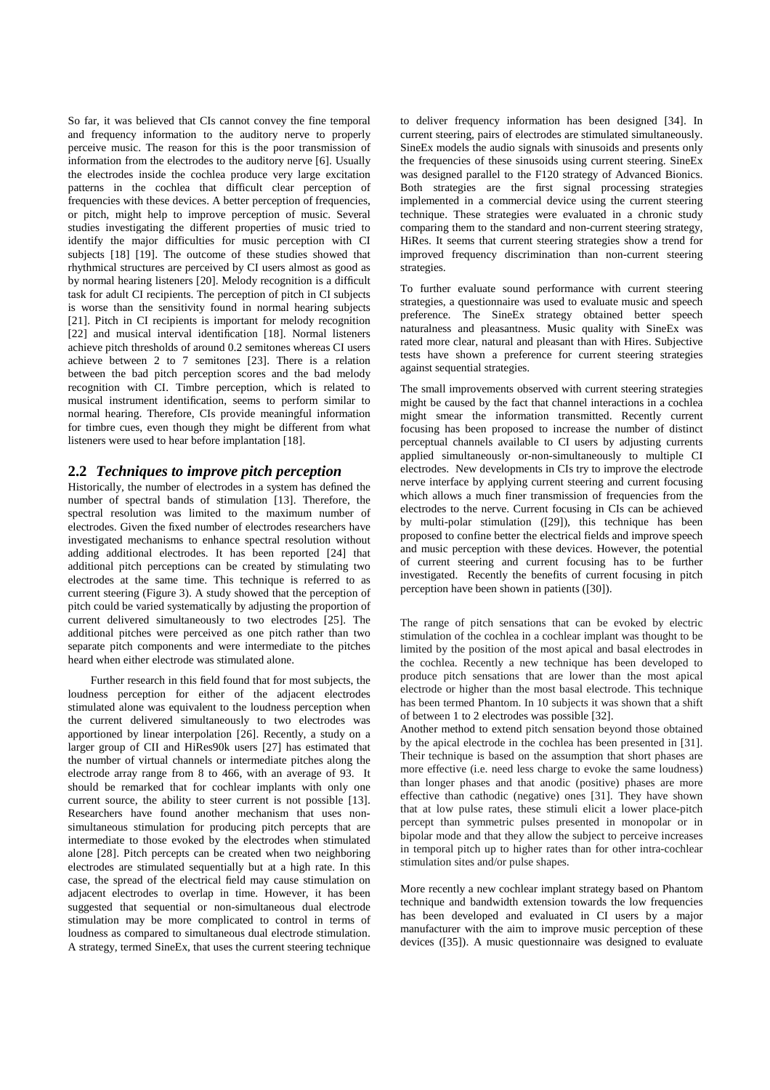So far, it was believed that CIs cannot convey the fine temporal and frequency information to the auditory nerve to properly perceive music. The reason for this is the poor transmission of information from the electrodes to the auditory nerve [6]. Usually the electrodes inside the cochlea produce very large excitation patterns in the cochlea that difficult clear perception of frequencies with these devices. A better perception of frequencies, or pitch, might help to improve perception of music. Several studies investigating the different properties of music tried to identify the major difficulties for music perception with CI subjects [18] [19]. The outcome of these studies showed that rhythmical structures are perceived by CI users almost as good as by normal hearing listeners [20]. Melody recognition is a difficult task for adult CI recipients. The perception of pitch in CI subjects is worse than the sensitivity found in normal hearing subjects [21]. Pitch in CI recipients is important for melody recognition [22] and musical interval identification [18]. Normal listeners achieve pitch thresholds of around 0.2 semitones whereas CI users achieve between 2 to 7 semitones [23]. There is a relation between the bad pitch perception scores and the bad melody recognition with CI. Timbre perception, which is related to musical instrument identification, seems to perform similar to normal hearing. Therefore, CIs provide meaningful information for timbre cues, even though they might be different from what listeners were used to hear before implantation [18].

# **2.2** *Techniques to improve pitch perception*

Historically, the number of electrodes in a system has defined the number of spectral bands of stimulation [13]. Therefore, the spectral resolution was limited to the maximum number of electrodes. Given the fixed number of electrodes researchers have investigated mechanisms to enhance spectral resolution without adding additional electrodes. It has been reported [24] that additional pitch perceptions can be created by stimulating two electrodes at the same time. This technique is referred to as current steering (Figure 3). A study showed that the perception of pitch could be varied systematically by adjusting the proportion of current delivered simultaneously to two electrodes [25]. The additional pitches were perceived as one pitch rather than two separate pitch components and were intermediate to the pitches heard when either electrode was stimulated alone.

Further research in this field found that for most subjects, the loudness perception for either of the adjacent electrodes stimulated alone was equivalent to the loudness perception when the current delivered simultaneously to two electrodes was apportioned by linear interpolation [26]. Recently, a study on a larger group of CII and HiRes90k users [27] has estimated that the number of virtual channels or intermediate pitches along the electrode array range from 8 to 466, with an average of 93. It should be remarked that for cochlear implants with only one current source, the ability to steer current is not possible [13]. Researchers have found another mechanism that uses nonsimultaneous stimulation for producing pitch percepts that are intermediate to those evoked by the electrodes when stimulated alone [28]. Pitch percepts can be created when two neighboring electrodes are stimulated sequentially but at a high rate. In this case, the spread of the electrical field may cause stimulation on adjacent electrodes to overlap in time. However, it has been suggested that sequential or non-simultaneous dual electrode stimulation may be more complicated to control in terms of loudness as compared to simultaneous dual electrode stimulation. A strategy, termed SineEx, that uses the current steering technique to deliver frequency information has been designed [34]. In current steering, pairs of electrodes are stimulated simultaneously. SineEx models the audio signals with sinusoids and presents only the frequencies of these sinusoids using current steering. SineEx was designed parallel to the F120 strategy of Advanced Bionics. Both strategies are the first signal processing strategies implemented in a commercial device using the current steering technique. These strategies were evaluated in a chronic study comparing them to the standard and non-current steering strategy, HiRes. It seems that current steering strategies show a trend for improved frequency discrimination than non-current steering strategies.

To further evaluate sound performance with current steering strategies, a questionnaire was used to evaluate music and speech preference. The SineEx strategy obtained better speech naturalness and pleasantness. Music quality with SineEx was rated more clear, natural and pleasant than with Hires. Subjective tests have shown a preference for current steering strategies against sequential strategies.

The small improvements observed with current steering strategies might be caused by the fact that channel interactions in a cochlea might smear the information transmitted. Recently current focusing has been proposed to increase the number of distinct perceptual channels available to CI users by adjusting currents applied simultaneously or-non-simultaneously to multiple CI electrodes. New developments in CIs try to improve the electrode nerve interface by applying current steering and current focusing which allows a much finer transmission of frequencies from the electrodes to the nerve. Current focusing in CIs can be achieved by multi-polar stimulation ([29]), this technique has been proposed to confine better the electrical fields and improve speech and music perception with these devices. However, the potential of current steering and current focusing has to be further investigated. Recently the benefits of current focusing in pitch perception have been shown in patients ([30]).

The range of pitch sensations that can be evoked by electric stimulation of the cochlea in a cochlear implant was thought to be limited by the position of the most apical and basal electrodes in the cochlea. Recently a new technique has been developed to produce pitch sensations that are lower than the most apical electrode or higher than the most basal electrode. This technique has been termed Phantom. In 10 subjects it was shown that a shift of between 1 to 2 electrodes was possible [32].

Another method to extend pitch sensation beyond those obtained by the apical electrode in the cochlea has been presented in [31]. Their technique is based on the assumption that short phases are more effective (i.e. need less charge to evoke the same loudness) than longer phases and that anodic (positive) phases are more effective than cathodic (negative) ones [31]. They have shown that at low pulse rates, these stimuli elicit a lower place-pitch percept than symmetric pulses presented in monopolar or in bipolar mode and that they allow the subject to perceive increases in temporal pitch up to higher rates than for other intra-cochlear stimulation sites and/or pulse shapes.

More recently a new cochlear implant strategy based on Phantom technique and bandwidth extension towards the low frequencies has been developed and evaluated in CI users by a major manufacturer with the aim to improve music perception of these devices ([35]). A music questionnaire was designed to evaluate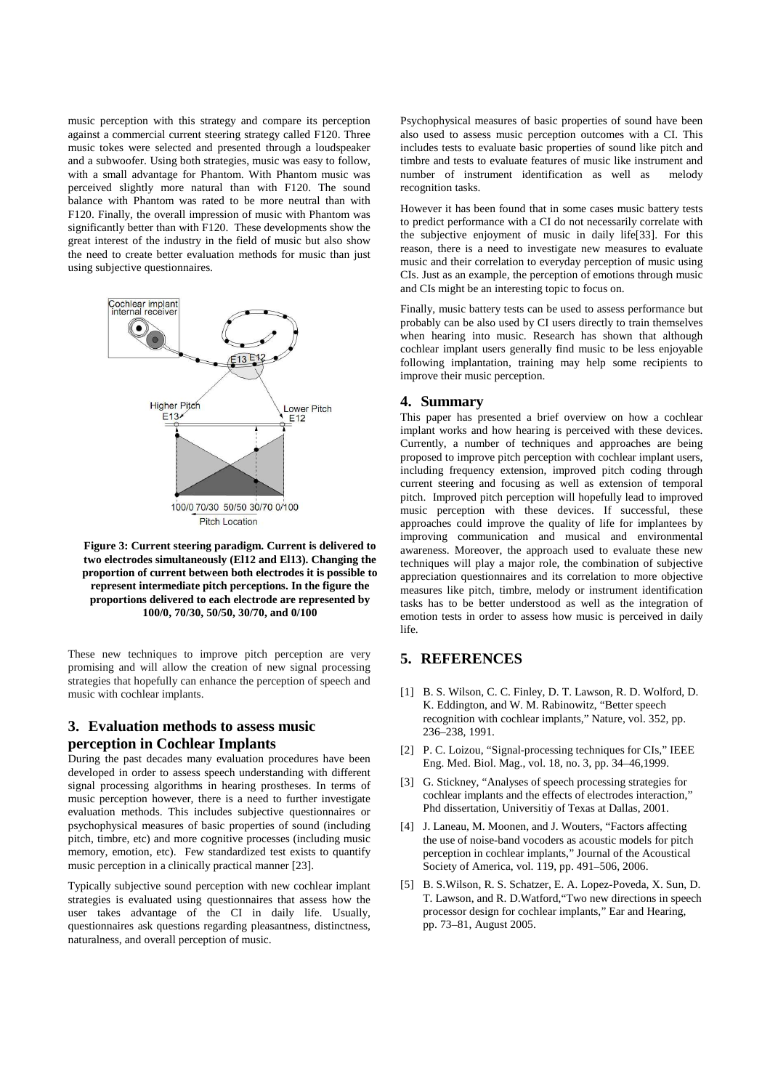music perception with this strategy and compare its perception against a commercial current steering strategy called F120. Three music tokes were selected and presented through a loudspeaker and a subwoofer. Using both strategies, music was easy to follow, with a small advantage for Phantom. With Phantom music was perceived slightly more natural than with F120. The sound balance with Phantom was rated to be more neutral than with F120. Finally, the overall impression of music with Phantom was significantly better than with F120. These developments show the great interest of the industry in the field of music but also show the need to create better evaluation methods for music than just using subjective questionnaires.



 **Figure 3: Current steering paradigm. Current is delivered to two electrodes simultaneously (El12 and El13). Changing the proportion of current between both electrodes it is possible to represent intermediate pitch perceptions. In the figure the proportions delivered to each electrode are represented by 100/0, 70/30, 50/50, 30/70, and 0/100** 

These new techniques to improve pitch perception are very promising and will allow the creation of new signal processing strategies that hopefully can enhance the perception of speech and music with cochlear implants.

# **3. Evaluation methods to assess music perception in Cochlear Implants**

During the past decades many evaluation procedures have been developed in order to assess speech understanding with different signal processing algorithms in hearing prostheses. In terms of music perception however, there is a need to further investigate evaluation methods. This includes subjective questionnaires or psychophysical measures of basic properties of sound (including pitch, timbre, etc) and more cognitive processes (including music memory, emotion, etc). Few standardized test exists to quantify music perception in a clinically practical manner [23].

Typically subjective sound perception with new cochlear implant strategies is evaluated using questionnaires that assess how the user takes advantage of the CI in daily life. Usually, questionnaires ask questions regarding pleasantness, distinctness, naturalness, and overall perception of music.

Psychophysical measures of basic properties of sound have been also used to assess music perception outcomes with a CI. This includes tests to evaluate basic properties of sound like pitch and timbre and tests to evaluate features of music like instrument and number of instrument identification as well as melody recognition tasks.

However it has been found that in some cases music battery tests to predict performance with a CI do not necessarily correlate with the subjective enjoyment of music in daily life[33]. For this reason, there is a need to investigate new measures to evaluate music and their correlation to everyday perception of music using CIs. Just as an example, the perception of emotions through music and CIs might be an interesting topic to focus on.

Finally, music battery tests can be used to assess performance but probably can be also used by CI users directly to train themselves when hearing into music. Research has shown that although cochlear implant users generally find music to be less enjoyable following implantation, training may help some recipients to improve their music perception.

### **4. Summary**

This paper has presented a brief overview on how a cochlear implant works and how hearing is perceived with these devices. Currently, a number of techniques and approaches are being proposed to improve pitch perception with cochlear implant users, including frequency extension, improved pitch coding through current steering and focusing as well as extension of temporal pitch. Improved pitch perception will hopefully lead to improved music perception with these devices. If successful, these approaches could improve the quality of life for implantees by improving communication and musical and environmental awareness. Moreover, the approach used to evaluate these new techniques will play a major role, the combination of subjective appreciation questionnaires and its correlation to more objective measures like pitch, timbre, melody or instrument identification tasks has to be better understood as well as the integration of emotion tests in order to assess how music is perceived in daily life.

# **5. REFERENCES**

- [1] B. S. Wilson, C. C. Finley, D. T. Lawson, R. D. Wolford, D. K. Eddington, and W. M. Rabinowitz, "Better speech recognition with cochlear implants," Nature, vol. 352, pp. 236–238, 1991.
- [2] P. C. Loizou, "Signal-processing techniques for CIs," IEEE Eng. Med. Biol. Mag., vol. 18, no. 3, pp. 34–46,1999.
- [3] G. Stickney, "Analyses of speech processing strategies for cochlear implants and the effects of electrodes interaction," Phd dissertation, Universitiy of Texas at Dallas, 2001.
- [4] J. Laneau, M. Moonen, and J. Wouters, "Factors affecting the use of noise-band vocoders as acoustic models for pitch perception in cochlear implants," Journal of the Acoustical Society of America, vol. 119, pp. 491–506, 2006.
- [5] B. S.Wilson, R. S. Schatzer, E. A. Lopez-Poveda, X. Sun, D. T. Lawson, and R. D.Watford,"Two new directions in speech processor design for cochlear implants," Ear and Hearing, pp. 73–81, August 2005.